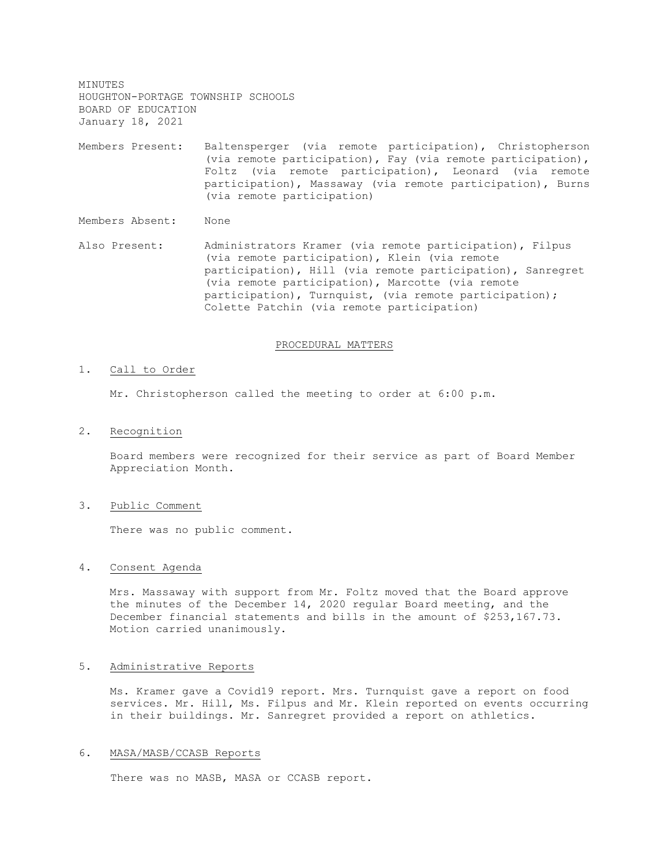MINUTES HOUGHTON-PORTAGE TOWNSHIP SCHOOLS BOARD OF EDUCATION January 18, 2021

Members Present: Baltensperger (via remote participation), Christopherson (via remote participation), Fay (via remote participation), Foltz (via remote participation), Leonard (via remote participation), Massaway (via remote participation), Burns (via remote participation)

Members Absent: None

Also Present: Administrators Kramer (via remote participation), Filpus (via remote participation), Klein (via remote participation), Hill (via remote participation), Sanregret (via remote participation), Marcotte (via remote participation), Turnquist, (via remote participation); Colette Patchin (via remote participation)

#### PROCEDURAL MATTERS

#### 1. Call to Order

Mr. Christopherson called the meeting to order at 6:00 p.m.

2. Recognition

Board members were recognized for their service as part of Board Member Appreciation Month.

3. Public Comment

There was no public comment.

#### 4. Consent Agenda

Mrs. Massaway with support from Mr. Foltz moved that the Board approve the minutes of the December 14, 2020 regular Board meeting, and the December financial statements and bills in the amount of \$253,167.73. Motion carried unanimously.

# 5. Administrative Reports

Ms. Kramer gave a Covid19 report. Mrs. Turnquist gave a report on food services. Mr. Hill, Ms. Filpus and Mr. Klein reported on events occurring in their buildings. Mr. Sanregret provided a report on athletics.

#### 6. MASA/MASB/CCASB Reports

There was no MASB, MASA or CCASB report.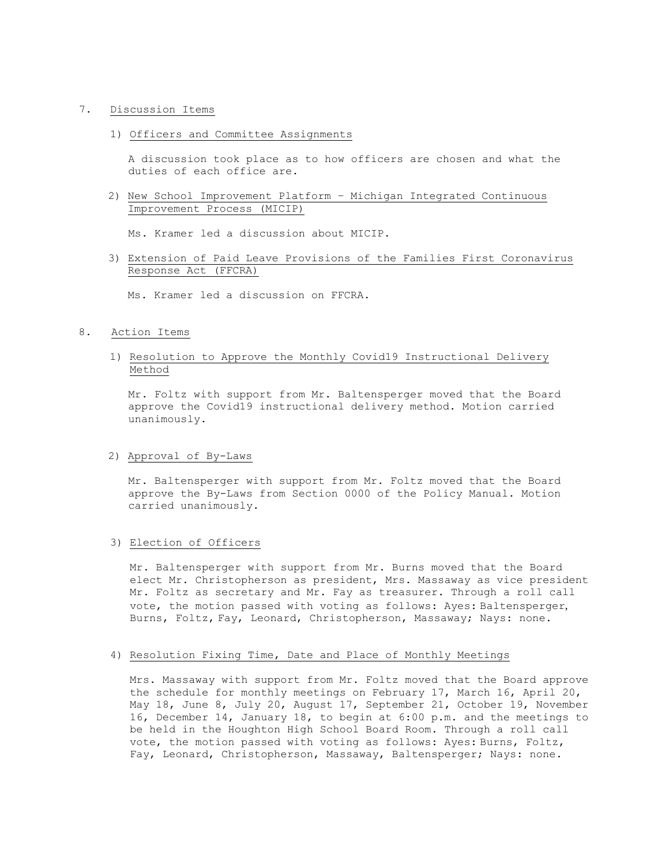### 7. Discussion Items

1) Officers and Committee Assignments

A discussion took place as to how officers are chosen and what the duties of each office are.

2) New School Improvement Platform – Michigan Integrated Continuous Improvement Process (MICIP)

Ms. Kramer led a discussion about MICIP.

3) Extension of Paid Leave Provisions of the Families First Coronavirus Response Act (FFCRA)

Ms. Kramer led a discussion on FFCRA.

### 8. Action Items

## 1) Resolution to Approve the Monthly Covid19 Instructional Delivery Method

Mr. Foltz with support from Mr. Baltensperger moved that the Board approve the Covid19 instructional delivery method. Motion carried unanimously.

# 2) Approval of By-Laws

Mr. Baltensperger with support from Mr. Foltz moved that the Board approve the By-Laws from Section 0000 of the Policy Manual. Motion carried unanimously.

# 3) Election of Officers

Mr. Baltensperger with support from Mr. Burns moved that the Board elect Mr. Christopherson as president, Mrs. Massaway as vice president Mr. Foltz as secretary and Mr. Fay as treasurer. Through a roll call vote, the motion passed with voting as follows: Ayes: Baltensperger, Burns, Foltz, Fay, Leonard, Christopherson, Massaway; Nays: none.

## 4) Resolution Fixing Time, Date and Place of Monthly Meetings

Mrs. Massaway with support from Mr. Foltz moved that the Board approve the schedule for monthly meetings on February 17, March 16, April 20, May 18, June 8, July 20, August 17, September 21, October 19, November 16, December 14, January 18, to begin at 6:00 p.m. and the meetings to be held in the Houghton High School Board Room. Through a roll call vote, the motion passed with voting as follows: Ayes: Burns, Foltz, Fay, Leonard, Christopherson, Massaway, Baltensperger; Nays: none.